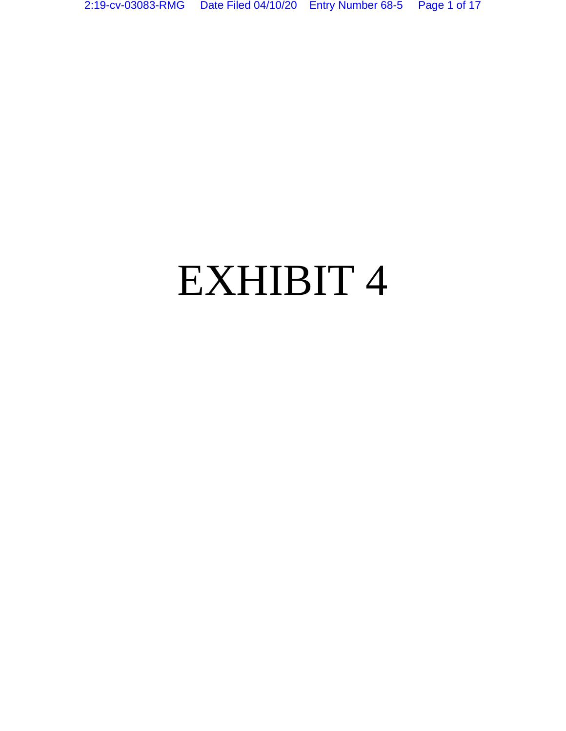# EXHIBIT 4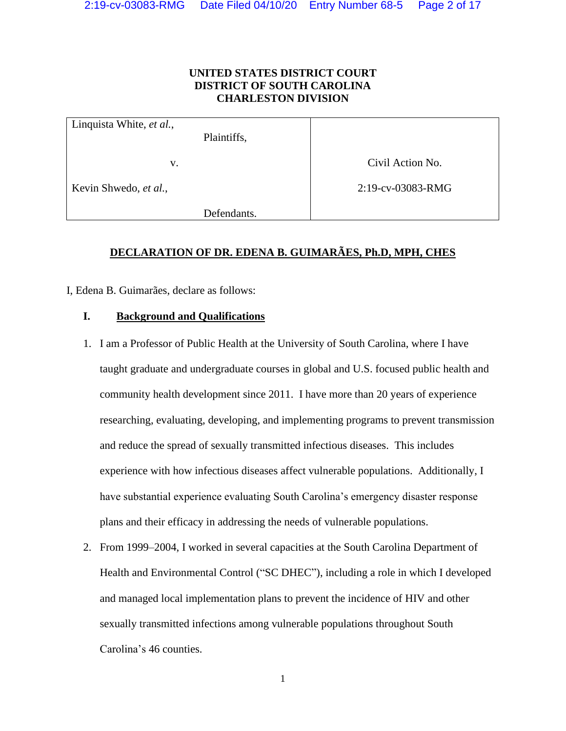#### **UNITED STATES DISTRICT COURT DISTRICT OF SOUTH CAROLINA CHARLESTON DIVISION**

| Linquista White, et al., |                   |
|--------------------------|-------------------|
| Plaintiffs,              |                   |
|                          |                   |
| V.                       | Civil Action No.  |
|                          |                   |
| Kevin Shwedo, et al.,    | 2:19-cv-03083-RMG |
|                          |                   |
| Defendants.              |                   |

#### **DECLARATION OF DR. EDENA B. GUIMARÃES, Ph.D, MPH, CHES**

I, Edena B. Guimarães, declare as follows:

#### **I. Background and Qualifications**

- 1. I am a Professor of Public Health at the University of South Carolina, where I have taught graduate and undergraduate courses in global and U.S. focused public health and community health development since 2011. I have more than 20 years of experience researching, evaluating, developing, and implementing programs to prevent transmission and reduce the spread of sexually transmitted infectious diseases. This includes experience with how infectious diseases affect vulnerable populations. Additionally, I have substantial experience evaluating South Carolina's emergency disaster response plans and their efficacy in addressing the needs of vulnerable populations.
- 2. From 1999–2004, I worked in several capacities at the South Carolina Department of Health and Environmental Control ("SC DHEC"), including a role in which I developed and managed local implementation plans to prevent the incidence of HIV and other sexually transmitted infections among vulnerable populations throughout South Carolina's 46 counties.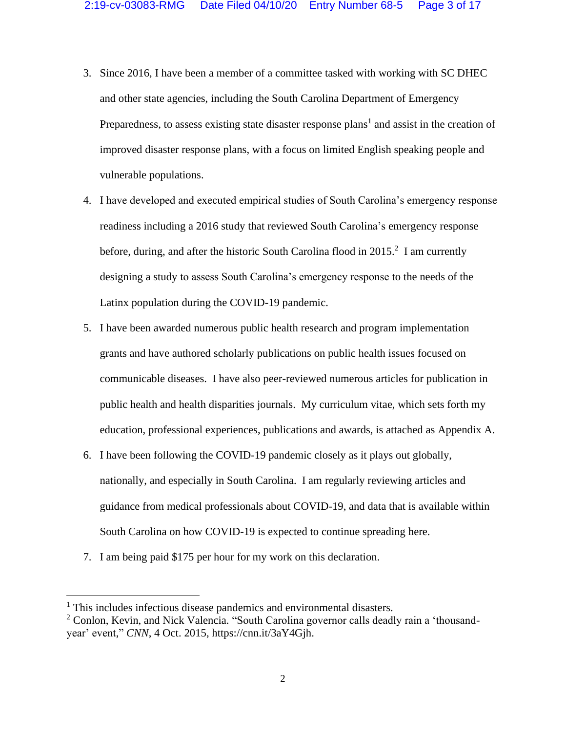- 3. Since 2016, I have been a member of a committee tasked with working with SC DHEC and other state agencies, including the South Carolina Department of Emergency Preparedness, to assess existing state disaster response plans<sup>1</sup> and assist in the creation of improved disaster response plans, with a focus on limited English speaking people and vulnerable populations.
- 4. I have developed and executed empirical studies of South Carolina's emergency response readiness including a 2016 study that reviewed South Carolina's emergency response before, during, and after the historic South Carolina flood in 2015.<sup>2</sup> I am currently designing a study to assess South Carolina's emergency response to the needs of the Latinx population during the COVID-19 pandemic.
- 5. I have been awarded numerous public health research and program implementation grants and have authored scholarly publications on public health issues focused on communicable diseases. I have also peer-reviewed numerous articles for publication in public health and health disparities journals. My curriculum vitae, which sets forth my education, professional experiences, publications and awards, is attached as Appendix A.
- 6. I have been following the COVID-19 pandemic closely as it plays out globally, nationally, and especially in South Carolina. I am regularly reviewing articles and guidance from medical professionals about COVID-19, and data that is available within South Carolina on how COVID-19 is expected to continue spreading here.
- 7. I am being paid \$175 per hour for my work on this declaration.

<sup>&</sup>lt;sup>1</sup> This includes infectious disease pandemics and environmental disasters.

<sup>&</sup>lt;sup>2</sup> Conlon, Kevin, and Nick Valencia. "South Carolina governor calls deadly rain a 'thousandyear' event," *CNN*, 4 Oct. 2015, https://cnn.it/3aY4Gjh.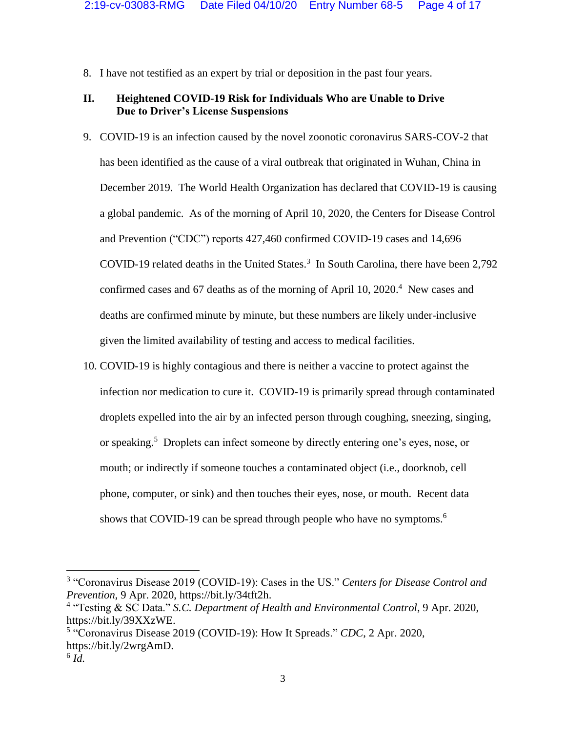8. I have not testified as an expert by trial or deposition in the past four years.

#### **II. Heightened COVID-19 Risk for Individuals Who are Unable to Drive Due to Driver's License Suspensions**

- 9. COVID-19 is an infection caused by the novel zoonotic coronavirus SARS-COV-2 that has been identified as the cause of a viral outbreak that originated in Wuhan, China in December 2019. The World Health Organization has declared that COVID-19 is causing a global pandemic. As of the morning of April 10, 2020, the Centers for Disease Control and Prevention ("CDC") reports 427,460 confirmed COVID-19 cases and 14,696 COVID-19 related deaths in the United States.<sup>3</sup> In South Carolina, there have been 2,792 confirmed cases and 67 deaths as of the morning of April 10, 2020. 4 New cases and deaths are confirmed minute by minute, but these numbers are likely under-inclusive given the limited availability of testing and access to medical facilities.
- 10. COVID-19 is highly contagious and there is neither a vaccine to protect against the infection nor medication to cure it. COVID-19 is primarily spread through contaminated droplets expelled into the air by an infected person through coughing, sneezing, singing, or speaking. <sup>5</sup> Droplets can infect someone by directly entering one's eyes, nose, or mouth; or indirectly if someone touches a contaminated object (i.e., doorknob, cell phone, computer, or sink) and then touches their eyes, nose, or mouth. Recent data shows that COVID-19 can be spread through people who have no symptoms.<sup>6</sup>

<sup>3</sup> "Coronavirus Disease 2019 (COVID-19): Cases in the US." *Centers for Disease Control and Prevention*, 9 Apr. 2020, https://bit.ly/34tft2h.

<sup>4</sup> "Testing & SC Data." *S.C. Department of Health and Environmental Control*, 9 Apr. 2020, https://bit.ly/39XXzWE.

<sup>5</sup> "Coronavirus Disease 2019 (COVID-19): How It Spreads." *CDC*, 2 Apr. 2020, https://bit.ly/2wrgAmD.

<sup>6</sup> *Id.*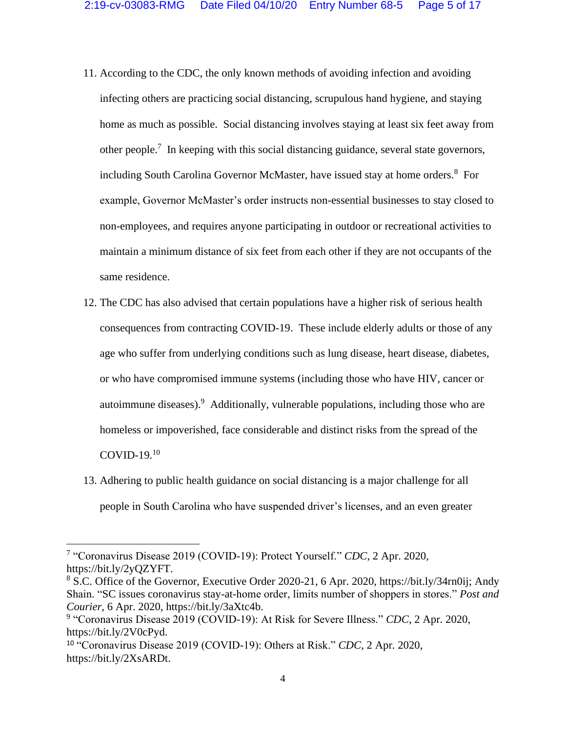- 11. According to the CDC, the only known methods of avoiding infection and avoiding infecting others are practicing social distancing, scrupulous hand hygiene, and staying home as much as possible. Social distancing involves staying at least six feet away from other people.<sup>7</sup> In keeping with this social distancing guidance, several state governors, including South Carolina Governor McMaster, have issued stay at home orders.<sup>8</sup> For example, Governor McMaster's order instructs non-essential businesses to stay closed to non-employees, and requires anyone participating in outdoor or recreational activities to maintain a minimum distance of six feet from each other if they are not occupants of the same residence.
- 12. The CDC has also advised that certain populations have a higher risk of serious health consequences from contracting COVID-19. These include elderly adults or those of any age who suffer from underlying conditions such as lung disease, heart disease, diabetes, or who have compromised immune systems (including those who have HIV, cancer or autoimmune diseases). Additionally, vulnerable populations, including those who are homeless or impoverished, face considerable and distinct risks from the spread of the COVID-19. 10
- 13. Adhering to public health guidance on social distancing is a major challenge for all people in South Carolina who have suspended driver's licenses, and an even greater

<sup>7</sup> "Coronavirus Disease 2019 (COVID-19): Protect Yourself." *CDC*, 2 Apr. 2020, https://bit.ly/2yQZYFT.

<sup>8</sup> S.C. Office of the Governor, Executive Order 2020-21, 6 Apr. 2020, https://bit.ly/34rn0ij; Andy Shain. "SC issues coronavirus stay-at-home order, limits number of shoppers in stores." *Post and Courier*, 6 Apr. 2020, https://bit.ly/3aXtc4b.

<sup>9</sup> "Coronavirus Disease 2019 (COVID-19): At Risk for Severe Illness." *CDC*, 2 Apr. 2020, https://bit.ly/2V0cPyd.

<sup>10</sup> "Coronavirus Disease 2019 (COVID-19): Others at Risk." *CDC*, 2 Apr. 2020, https://bit.ly/2XsARDt.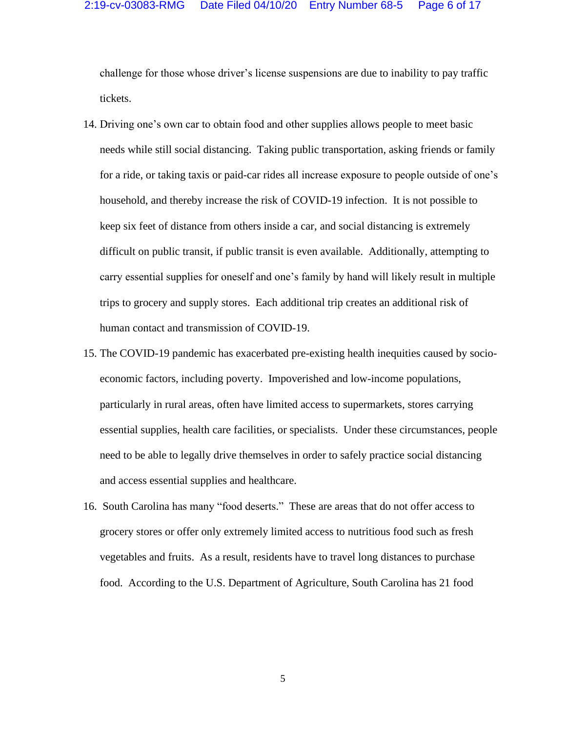challenge for those whose driver's license suspensions are due to inability to pay traffic tickets.

- 14. Driving one's own car to obtain food and other supplies allows people to meet basic needs while still social distancing. Taking public transportation, asking friends or family for a ride, or taking taxis or paid-car rides all increase exposure to people outside of one's household, and thereby increase the risk of COVID-19 infection. It is not possible to keep six feet of distance from others inside a car, and social distancing is extremely difficult on public transit, if public transit is even available. Additionally, attempting to carry essential supplies for oneself and one's family by hand will likely result in multiple trips to grocery and supply stores. Each additional trip creates an additional risk of human contact and transmission of COVID-19.
- 15. The COVID-19 pandemic has exacerbated pre-existing health inequities caused by socioeconomic factors, including poverty. Impoverished and low-income populations, particularly in rural areas, often have limited access to supermarkets, stores carrying essential supplies, health care facilities, or specialists. Under these circumstances, people need to be able to legally drive themselves in order to safely practice social distancing and access essential supplies and healthcare.
- 16. South Carolina has many "food deserts." These are areas that do not offer access to grocery stores or offer only extremely limited access to nutritious food such as fresh vegetables and fruits. As a result, residents have to travel long distances to purchase food. According to the U.S. Department of Agriculture, South Carolina has 21 food

5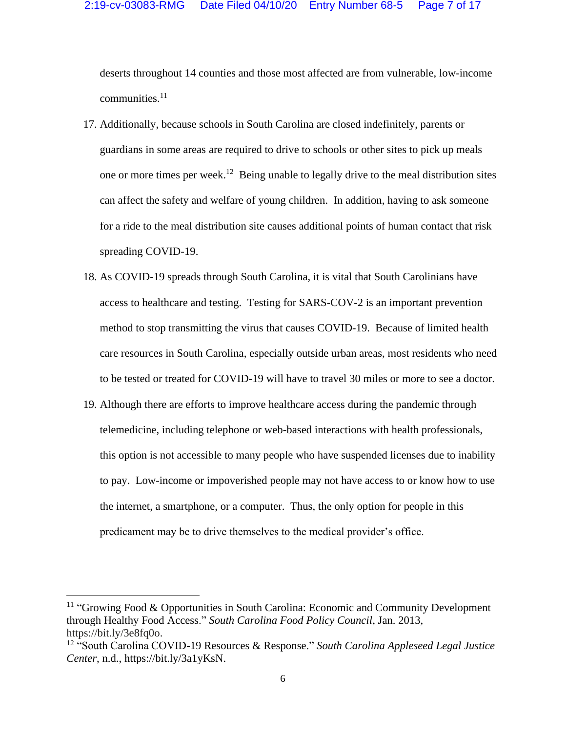deserts throughout 14 counties and those most affected are from vulnerable, low-income communities. $11$ 

- 17. Additionally, because schools in South Carolina are closed indefinitely, parents or guardians in some areas are required to drive to schools or other sites to pick up meals one or more times per week.<sup>12</sup> Being unable to legally drive to the meal distribution sites can affect the safety and welfare of young children. In addition, having to ask someone for a ride to the meal distribution site causes additional points of human contact that risk spreading COVID-19.
- 18. As COVID-19 spreads through South Carolina, it is vital that South Carolinians have access to healthcare and testing. Testing for SARS-COV-2 is an important prevention method to stop transmitting the virus that causes COVID-19. Because of limited health care resources in South Carolina, especially outside urban areas, most residents who need to be tested or treated for COVID-19 will have to travel 30 miles or more to see a doctor.
- 19. Although there are efforts to improve healthcare access during the pandemic through telemedicine, including telephone or web-based interactions with health professionals, this option is not accessible to many people who have suspended licenses due to inability to pay. Low-income or impoverished people may not have access to or know how to use the internet, a smartphone, or a computer. Thus, the only option for people in this predicament may be to drive themselves to the medical provider's office.

<sup>&</sup>lt;sup>11</sup> "Growing Food & Opportunities in South Carolina: Economic and Community Development through Healthy Food Access." *South Carolina Food Policy Council*, Jan. 2013, https://bit.ly/3e8fq0o.

<sup>12</sup> "South Carolina COVID-19 Resources & Response." *South Carolina Appleseed Legal Justice Center*, n.d., https://bit.ly/3a1yKsN.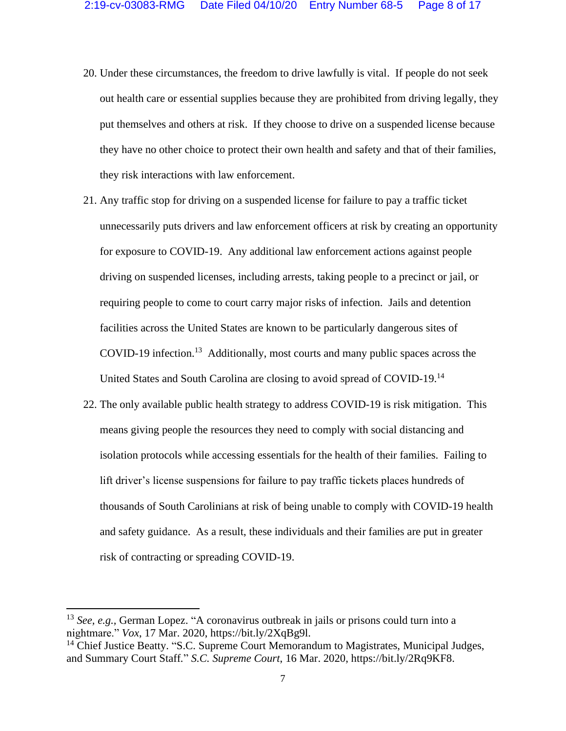- 20. Under these circumstances, the freedom to drive lawfully is vital. If people do not seek out health care or essential supplies because they are prohibited from driving legally, they put themselves and others at risk. If they choose to drive on a suspended license because they have no other choice to protect their own health and safety and that of their families, they risk interactions with law enforcement.
- 21. Any traffic stop for driving on a suspended license for failure to pay a traffic ticket unnecessarily puts drivers and law enforcement officers at risk by creating an opportunity for exposure to COVID-19. Any additional law enforcement actions against people driving on suspended licenses, including arrests, taking people to a precinct or jail, or requiring people to come to court carry major risks of infection. Jails and detention facilities across the United States are known to be particularly dangerous sites of COVID-19 infection.<sup>13</sup> Additionally, most courts and many public spaces across the United States and South Carolina are closing to avoid spread of COVID-19.<sup>14</sup>
- 22. The only available public health strategy to address COVID-19 is risk mitigation. This means giving people the resources they need to comply with social distancing and isolation protocols while accessing essentials for the health of their families. Failing to lift driver's license suspensions for failure to pay traffic tickets places hundreds of thousands of South Carolinians at risk of being unable to comply with COVID-19 health and safety guidance. As a result, these individuals and their families are put in greater risk of contracting or spreading COVID-19.

<sup>13</sup> *See, e.g.,* German Lopez. "A coronavirus outbreak in jails or prisons could turn into a nightmare." *Vox*, 17 Mar. 2020, https://bit.ly/2XqBg9l.

<sup>&</sup>lt;sup>14</sup> Chief Justice Beatty. "S.C. Supreme Court Memorandum to Magistrates, Municipal Judges, and Summary Court Staff*.*" *S.C. Supreme Court*, 16 Mar. 2020, https://bit.ly/2Rq9KF8.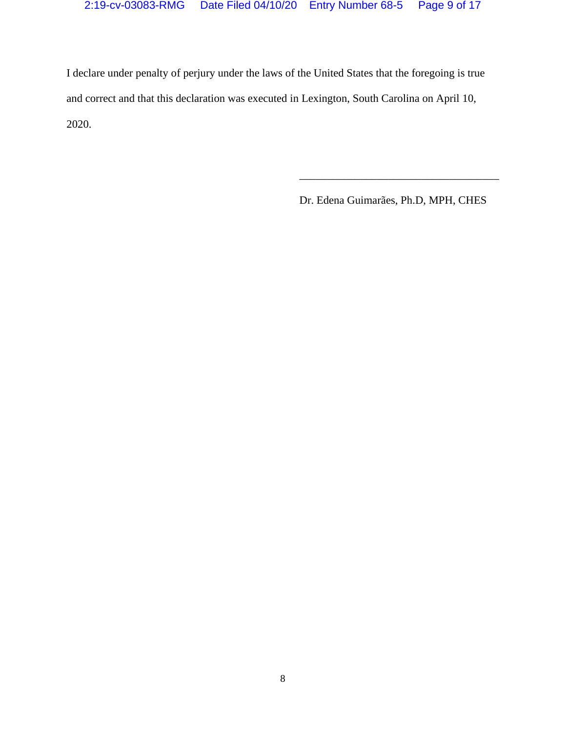I declare under penalty of perjury under the laws of the United States that the foregoing is true and correct and that this declaration was executed in Lexington, South Carolina on April 10, 2020.

Dr. Edena Guimarães, Ph.D, MPH, CHES

\_\_\_\_\_\_\_\_\_\_\_\_\_\_\_\_\_\_\_\_\_\_\_\_\_\_\_\_\_\_\_\_\_\_\_\_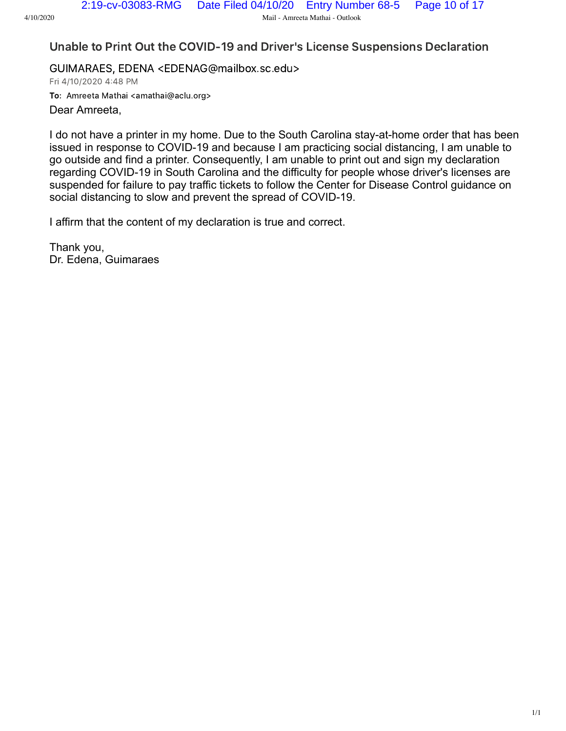Unable to Print Out the COVID-19 and Driver's License Suspensions Declaration

GUIMARAES, EDENA <EDENAG@mailbox.sc.edu> Fri 4/10/2020 4:48 PM To: Amreeta Mathai <amathai@aclu.org> Dear Amreeta,

I do not have a printer in my home. Due to the South Carolina stay-at-home order that has been issued in response to COVID-19 and because I am practicing social distancing, I am unable to go outside and find a printer. Consequently, I am unable to print out and sign my declaration regarding COVID-19 in South Carolina and the difficulty for people whose driver's licenses are suspended for failure to pay traffic tickets to follow the Center for Disease Control guidance on social distancing to slow and prevent the spread of COVID-19.

I affirm that the content of my declaration is true and correct.

Thank you, Dr. Edena, Guimaraes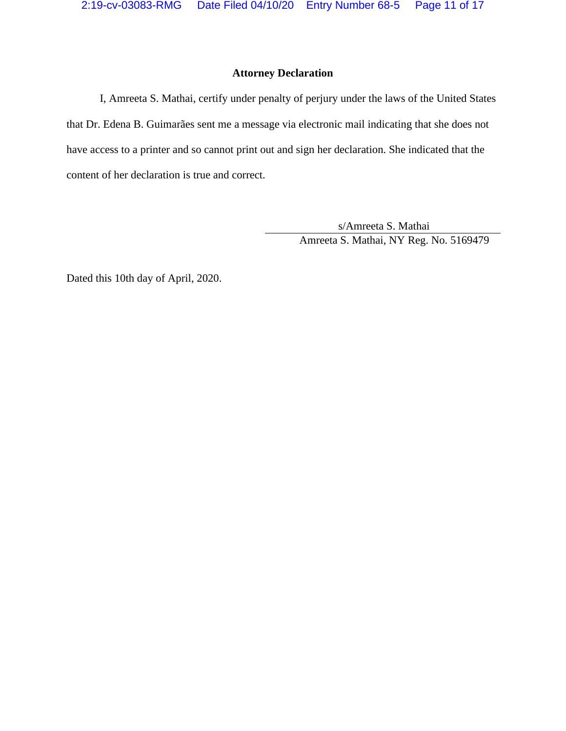#### **Attorney Declaration**

I, Amreeta S. Mathai, certify under penalty of perjury under the laws of the United States that Dr. Edena B. Guimarães sent me a message via electronic mail indicating that she does not have access to a printer and so cannot print out and sign her declaration. She indicated that the content of her declaration is true and correct.

> s/Amreeta S. Mathai Amreeta S. Mathai, NY Reg. No. 5169479

Dated this 10th day of April, 2020.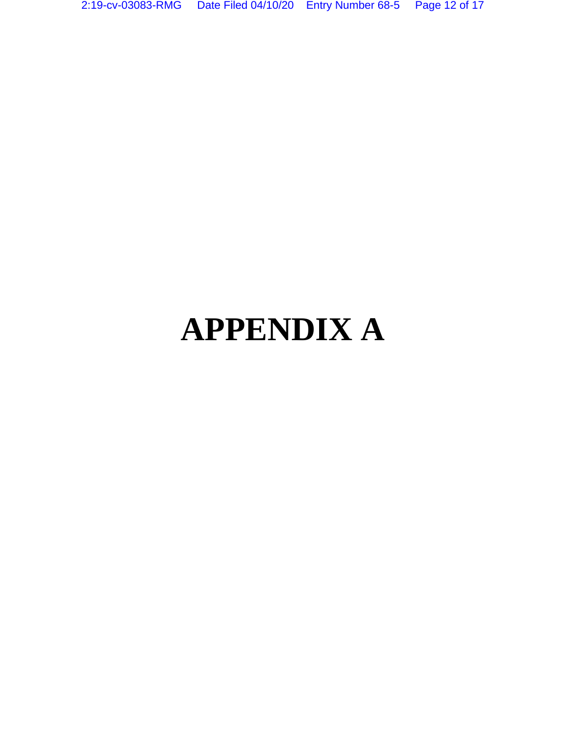# **APPENDIX A**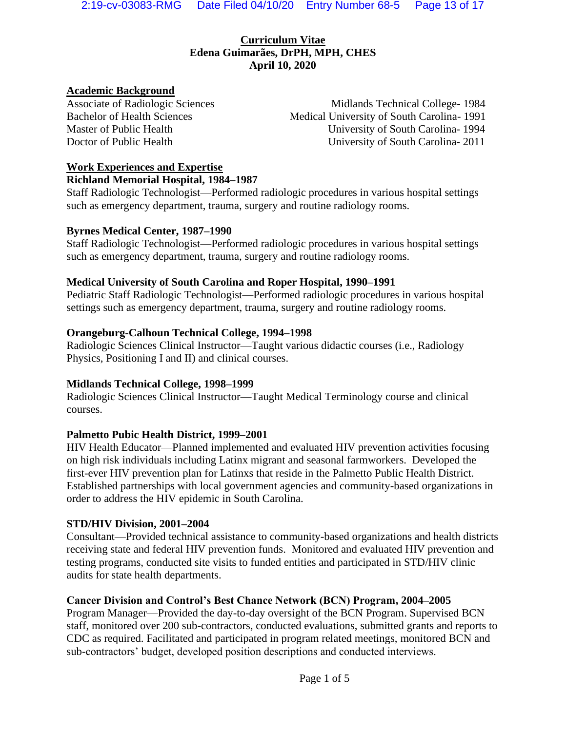#### **Curriculum Vitae Edena Guimarães, DrPH, MPH, CHES April 10, 2020**

#### **Academic Background**

Associate of Radiologic Sciences Midlands Technical College- 1984 Bachelor of Health Sciences Medical University of South Carolina- 1991 Master of Public Health University of South Carolina- 1994 Doctor of Public Health University of South Carolina- 2011

# **Work Experiences and Expertise**

#### **Richland Memorial Hospital, 1984–1987**

Staff Radiologic Technologist—Performed radiologic procedures in various hospital settings such as emergency department, trauma, surgery and routine radiology rooms.

#### **Byrnes Medical Center, 1987–1990**

Staff Radiologic Technologist—Performed radiologic procedures in various hospital settings such as emergency department, trauma, surgery and routine radiology rooms.

#### **Medical University of South Carolina and Roper Hospital, 1990–1991**

Pediatric Staff Radiologic Technologist—Performed radiologic procedures in various hospital settings such as emergency department, trauma, surgery and routine radiology rooms.

#### **Orangeburg-Calhoun Technical College, 1994–1998**

Radiologic Sciences Clinical Instructor—Taught various didactic courses (i.e., Radiology Physics, Positioning I and II) and clinical courses.

#### **Midlands Technical College, 1998–1999**

Radiologic Sciences Clinical Instructor—Taught Medical Terminology course and clinical courses.

#### **Palmetto Pubic Health District, 1999–2001**

HIV Health Educator—Planned implemented and evaluated HIV prevention activities focusing on high risk individuals including Latinx migrant and seasonal farmworkers. Developed the first-ever HIV prevention plan for Latinxs that reside in the Palmetto Public Health District. Established partnerships with local government agencies and community-based organizations in order to address the HIV epidemic in South Carolina.

#### **STD/HIV Division, 2001–2004**

Consultant—Provided technical assistance to community-based organizations and health districts receiving state and federal HIV prevention funds. Monitored and evaluated HIV prevention and testing programs, conducted site visits to funded entities and participated in STD/HIV clinic audits for state health departments.

#### **Cancer Division and Control's Best Chance Network (BCN) Program, 2004–2005**

Program Manager—Provided the day-to-day oversight of the BCN Program. Supervised BCN staff, monitored over 200 sub-contractors, conducted evaluations, submitted grants and reports to CDC as required. Facilitated and participated in program related meetings, monitored BCN and sub-contractors' budget, developed position descriptions and conducted interviews.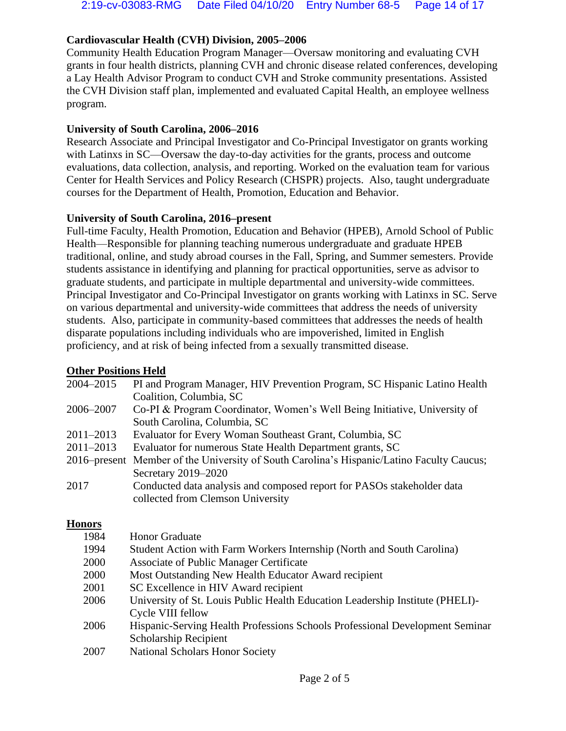#### **Cardiovascular Health (CVH) Division, 2005–2006**

Community Health Education Program Manager—Oversaw monitoring and evaluating CVH grants in four health districts, planning CVH and chronic disease related conferences, developing a Lay Health Advisor Program to conduct CVH and Stroke community presentations. Assisted the CVH Division staff plan, implemented and evaluated Capital Health, an employee wellness program.

#### **University of South Carolina, 2006–2016**

Research Associate and Principal Investigator and Co-Principal Investigator on grants working with Latinxs in SC—Oversaw the day-to-day activities for the grants, process and outcome evaluations, data collection, analysis, and reporting. Worked on the evaluation team for various Center for Health Services and Policy Research (CHSPR) projects. Also, taught undergraduate courses for the Department of Health, Promotion, Education and Behavior.

#### **University of South Carolina, 2016–present**

Full-time Faculty, Health Promotion, Education and Behavior (HPEB), Arnold School of Public Health—Responsible for planning teaching numerous undergraduate and graduate HPEB traditional, online, and study abroad courses in the Fall, Spring, and Summer semesters. Provide students assistance in identifying and planning for practical opportunities, serve as advisor to graduate students, and participate in multiple departmental and university-wide committees. Principal Investigator and Co-Principal Investigator on grants working with Latinxs in SC. Serve on various departmental and university-wide committees that address the needs of university students. Also, participate in community-based committees that addresses the needs of health disparate populations including individuals who are impoverished, limited in English proficiency, and at risk of being infected from a sexually transmitted disease.

#### **Other Positions Held**

| 2004-2015     | PI and Program Manager, HIV Prevention Program, SC Hispanic Latino Health                 |
|---------------|-------------------------------------------------------------------------------------------|
|               | Coalition, Columbia, SC                                                                   |
| 2006–2007     | Co-PI & Program Coordinator, Women's Well Being Initiative, University of                 |
|               | South Carolina, Columbia, SC                                                              |
| $2011 - 2013$ | Evaluator for Every Woman Southeast Grant, Columbia, SC                                   |
| $2011 - 2013$ | Evaluator for numerous State Health Department grants, SC                                 |
|               | 2016–present Member of the University of South Carolina's Hispanic/Latino Faculty Caucus; |
|               | Secretary 2019-2020                                                                       |
| 2017          | Conducted data analysis and composed report for PASOs stakeholder data                    |
|               | collected from Clemson University                                                         |
|               |                                                                                           |

#### **Honors**

| 1984 | <b>Honor Graduate</b>                                                         |
|------|-------------------------------------------------------------------------------|
| 1994 | Student Action with Farm Workers Internship (North and South Carolina)        |
| 2000 | Associate of Public Manager Certificate                                       |
| 2000 | Most Outstanding New Health Educator Award recipient                          |
| 2001 | SC Excellence in HIV Award recipient                                          |
| 2006 | University of St. Louis Public Health Education Leadership Institute (PHELI)- |
|      | Cycle VIII fellow                                                             |
| 2006 | Hispanic-Serving Health Professions Schools Professional Development Seminar  |
|      | <b>Scholarship Recipient</b>                                                  |
| 2007 | <b>National Scholars Honor Society</b>                                        |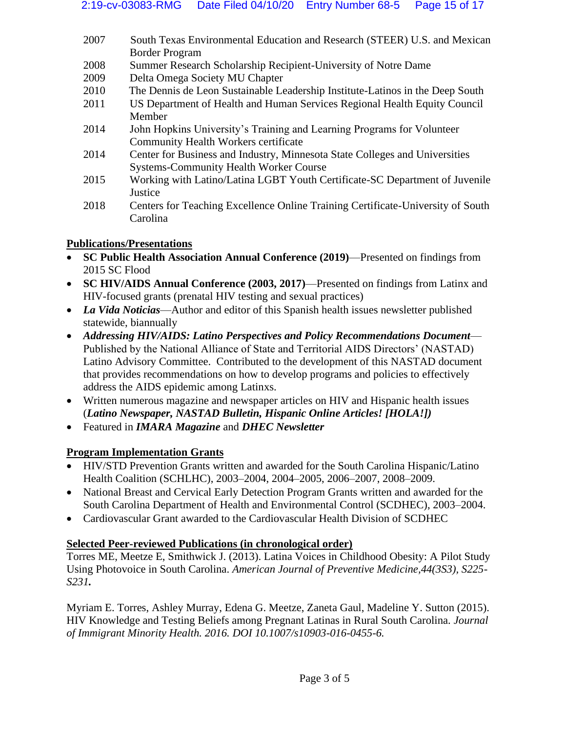- 2007 South Texas Environmental Education and Research (STEER) U.S. and Mexican Border Program
- 2008 Summer Research Scholarship Recipient-University of Notre Dame
- 2009 Delta Omega Society MU Chapter
- 2010 The Dennis de Leon Sustainable Leadership Institute-Latinos in the Deep South
- 2011 US Department of Health and Human Services Regional Health Equity Council Member
- 2014 John Hopkins University's Training and Learning Programs for Volunteer Community Health Workers certificate
- 2014 Center for Business and Industry, Minnesota State Colleges and Universities Systems-Community Health Worker Course
- 2015 Working with Latino/Latina LGBT Youth Certificate-SC Department of Juvenile **Justice**
- 2018 Centers for Teaching Excellence Online Training Certificate-University of South Carolina

#### **Publications/Presentations**

- **SC Public Health Association Annual Conference (2019)**—Presented on findings from 2015 SC Flood
- **SC HIV/AIDS Annual Conference (2003, 2017)**—Presented on findings from Latinx and HIV-focused grants (prenatal HIV testing and sexual practices)
- *La Vida Noticias*—Author and editor of this Spanish health issues newsletter published statewide, biannually
- *Addressing HIV/AIDS: Latino Perspectives and Policy Recommendations Document* Published by the National Alliance of State and Territorial AIDS Directors' (NASTAD) Latino Advisory Committee. Contributed to the development of this NASTAD document that provides recommendations on how to develop programs and policies to effectively address the AIDS epidemic among Latinxs.
- Written numerous magazine and newspaper articles on HIV and Hispanic health issues (*Latino Newspaper, NASTAD Bulletin, Hispanic Online Articles! [HOLA!])*
- Featured in *IMARA Magazine* and *DHEC Newsletter*

## **Program Implementation Grants**

- HIV/STD Prevention Grants written and awarded for the South Carolina Hispanic/Latino Health Coalition (SCHLHC), 2003–2004, 2004–2005, 2006–2007, 2008–2009.
- National Breast and Cervical Early Detection Program Grants written and awarded for the South Carolina Department of Health and Environmental Control (SCDHEC), 2003–2004.
- Cardiovascular Grant awarded to the Cardiovascular Health Division of SCDHEC

## **Selected Peer-reviewed Publications (in chronological order)**

Torres ME, Meetze E, Smithwick J. (2013). Latina Voices in Childhood Obesity: A Pilot Study Using Photovoice in South Carolina. *American Journal of Preventive Medicine,44(3S3), S225- S231.*

Myriam E. Torres, Ashley Murray, Edena G. Meetze, Zaneta Gaul, Madeline Y. Sutton (2015). HIV Knowledge and Testing Beliefs among Pregnant Latinas in Rural South Carolina*. Journal of Immigrant Minority Health. 2016. DOI 10.1007/s10903-016-0455-6.*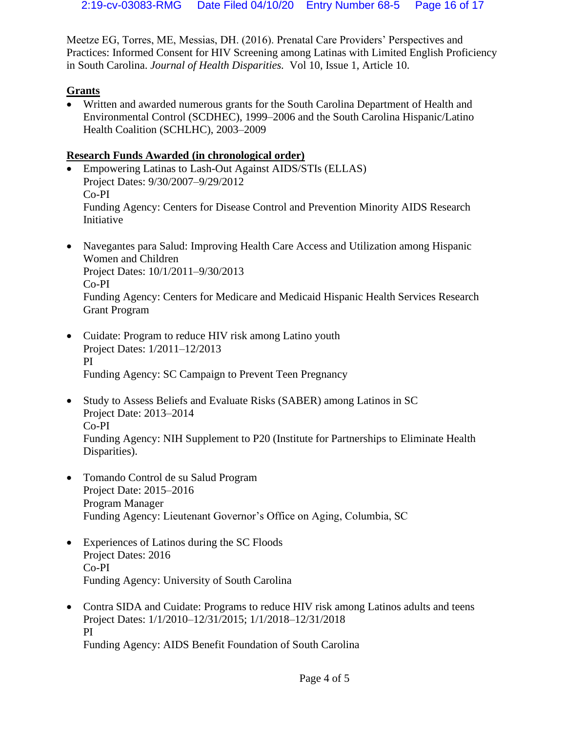Meetze EG, Torres, ME, Messias, DH. (2016). Prenatal Care Providers' Perspectives and Practices: Informed Consent for HIV Screening among Latinas with Limited English Proficiency in South Carolina. *Journal of Health Disparities.* Vol 10, Issue 1, Article 10.

#### **Grants**

• Written and awarded numerous grants for the South Carolina Department of Health and Environmental Control (SCDHEC), 1999–2006 and the South Carolina Hispanic/Latino Health Coalition (SCHLHC), 2003–2009

#### **Research Funds Awarded (in chronological order)**

- Empowering Latinas to Lash-Out Against AIDS/STIs (ELLAS) Project Dates: 9/30/2007–9/29/2012 Co-PI Funding Agency: Centers for Disease Control and Prevention Minority AIDS Research Initiative
- Navegantes para Salud: Improving Health Care Access and Utilization among Hispanic Women and Children Project Dates: 10/1/2011–9/30/2013 Co-PI Funding Agency: Centers for Medicare and Medicaid Hispanic Health Services Research Grant Program
- Cuidate: Program to reduce HIV risk among Latino youth Project Dates: 1/2011–12/2013 PI Funding Agency: SC Campaign to Prevent Teen Pregnancy
- Study to Assess Beliefs and Evaluate Risks (SABER) among Latinos in SC Project Date: 2013–2014 Co-PI Funding Agency: NIH Supplement to P20 (Institute for Partnerships to Eliminate Health Disparities).
- Tomando Control de su Salud Program Project Date: 2015–2016 Program Manager Funding Agency: Lieutenant Governor's Office on Aging, Columbia, SC
- Experiences of Latinos during the SC Floods Project Dates: 2016 Co-PI Funding Agency: University of South Carolina
- Contra SIDA and Cuidate: Programs to reduce HIV risk among Latinos adults and teens Project Dates: 1/1/2010–12/31/2015; 1/1/2018–12/31/2018 PI Funding Agency: AIDS Benefit Foundation of South Carolina